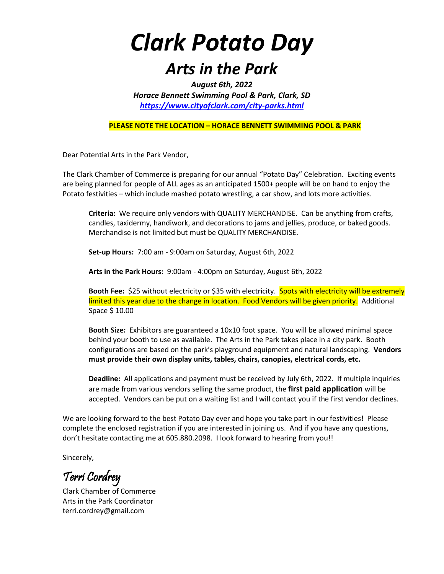*Clark Potato Day*

## *Arts in the Park*

*August 6th, 2022 Horace Bennett Swimming Pool & Park, Clark, SD <https://www.cityofclark.com/city-parks.html>*

**PLEASE NOTE THE LOCATION – HORACE BENNETT SWIMMING POOL & PARK**

Dear Potential Arts in the Park Vendor,

The Clark Chamber of Commerce is preparing for our annual "Potato Day" Celebration. Exciting events are being planned for people of ALL ages as an anticipated 1500+ people will be on hand to enjoy the Potato festivities – which include mashed potato wrestling, a car show, and lots more activities.

**Criteria:** We require only vendors with QUALITY MERCHANDISE. Can be anything from crafts, candles, taxidermy, handiwork, and decorations to jams and jellies, produce, or baked goods. Merchandise is not limited but must be QUALITY MERCHANDISE.

**Set-up Hours:** 7:00 am - 9:00am on Saturday, August 6th, 2022

**Arts in the Park Hours:** 9:00am - 4:00pm on Saturday, August 6th, 2022

**Booth Fee:** \$25 without electricity or \$35 with electricity. Spots with electricity will be extremely limited this year due to the change in location. Food Vendors will be given priority. Additional Space \$ 10.00

**Booth Size:** Exhibitors are guaranteed a 10x10 foot space. You will be allowed minimal space behind your booth to use as available. The Arts in the Park takes place in a city park. Booth configurations are based on the park's playground equipment and natural landscaping. **Vendors must provide their own display units, tables, chairs, canopies, electrical cords, etc.**

**Deadline:** All applications and payment must be received by July 6th, 2022. If multiple inquiries are made from various vendors selling the same product, the **first paid application** will be accepted. Vendors can be put on a waiting list and I will contact you if the first vendor declines.

We are looking forward to the best Potato Day ever and hope you take part in our festivities! Please complete the enclosed registration if you are interested in joining us. And if you have any questions, don't hesitate contacting me at 605.880.2098. I look forward to hearing from you!!

Sincerely,

Terri Cordrey

Clark Chamber of Commerce Arts in the Park Coordinator terri.cordrey@gmail.com